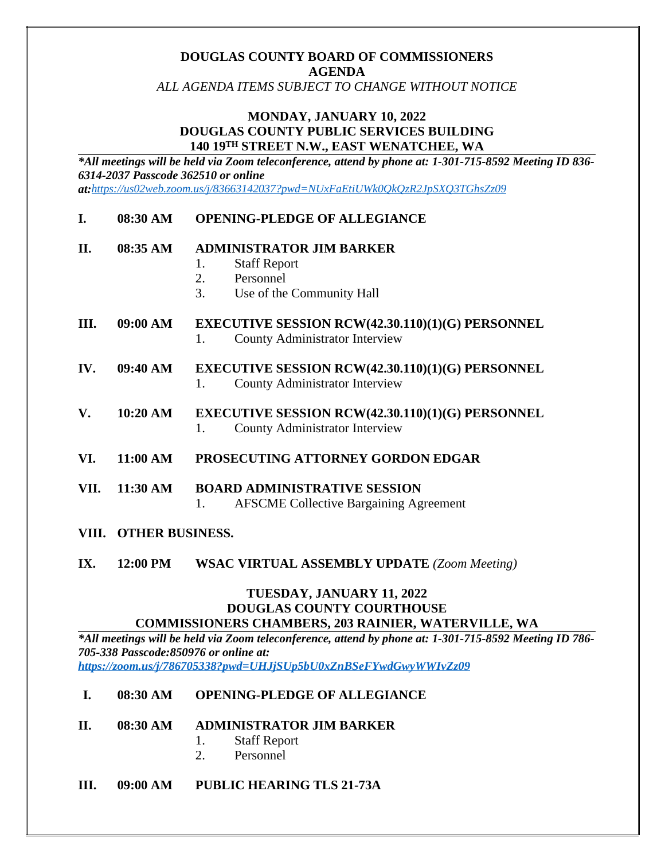# **DOUGLAS COUNTY BOARD OF COMMISSIONERS AGENDA**

*ALL AGENDA ITEMS SUBJECT TO CHANGE WITHOUT NOTICE*

#### **MONDAY, JANUARY 10, 2022 DOUGLAS COUNTY PUBLIC SERVICES BUILDING 140 19TH STREET N.W., EAST WENATCHEE, WA**

*\*All meetings will be held via Zoom teleconference, attend by phone at: 1-301-715-8592 Meeting ID 836- 6314-2037 Passcode 362510 or online at:<https://us02web.zoom.us/j/83663142037?pwd=NUxFaEtiUWk0QkQzR2JpSXQ3TGhsZz09>*

#### **I. 08:30 AM OPENING-PLEDGE OF ALLEGIANCE**

#### **II. 08:35 AM ADMINISTRATOR JIM BARKER**

- 1. Staff Report
- 2. Personnel
- 3. Use of the Community Hall
- **III. 09:00 AM EXECUTIVE SESSION RCW(42.30.110)(1)(G) PERSONNEL** 1. County Administrator Interview
- **IV. 09:40 AM EXECUTIVE SESSION RCW(42.30.110)(1)(G) PERSONNEL** 1. County Administrator Interview
- **V. 10:20 AM EXECUTIVE SESSION RCW(42.30.110)(1)(G) PERSONNEL** 1. County Administrator Interview
- **VI. 11:00 AM PROSECUTING ATTORNEY GORDON EDGAR**
- **VII. 11:30 AM BOARD ADMINISTRATIVE SESSION** 1. AFSCME Collective Bargaining Agreement
- **VIII. OTHER BUSINESS.**
- **IX. 12:00 PM WSAC VIRTUAL ASSEMBLY UPDATE** *(Zoom Meeting)*

#### **TUESDAY, JANUARY 11, 2022 DOUGLAS COUNTY COURTHOUSE COMMISSIONERS CHAMBERS, 203 RAINIER, WATERVILLE, WA**

*\*All meetings will be held via Zoom teleconference, attend by phone at: 1-301-715-8592 Meeting ID 786- 705-338 Passcode:850976 or online at: <https://zoom.us/j/786705338?pwd=UHJjSUp5bU0xZnBSeFYwdGwyWWIvZz09>*

#### **I. 08:30 AM OPENING-PLEDGE OF ALLEGIANCE**

- **II. 08:30 AM ADMINISTRATOR JIM BARKER**
	- 1. Staff Report
	- 2. Personnel
- **III. 09:00 AM PUBLIC HEARING TLS 21-73A**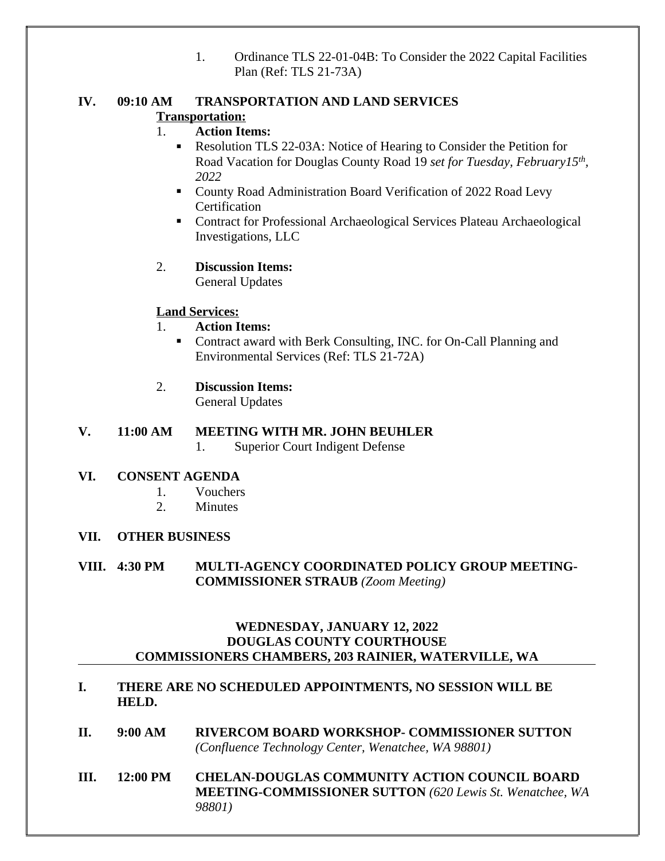1. Ordinance TLS 22-01-04B: To Consider the 2022 Capital Facilities Plan (Ref: TLS 21-73A)

#### **IV. 09:10 AM TRANSPORTATION AND LAND SERVICES Transportation:**

# 1. **Action Items:**

- Resolution TLS 22-03A: Notice of Hearing to Consider the Petition for Road Vacation for Douglas County Road 19 *set for Tuesday, February15th , 2022*
- County Road Administration Board Verification of 2022 Road Levy **Certification**
- Contract for Professional Archaeological Services Plateau Archaeological Investigations, LLC

# 2. **Discussion Items:**

General Updates

# **Land Services:**

- 1. **Action Items:**
	- Contract award with Berk Consulting, INC. for On-Call Planning and Environmental Services (Ref: TLS 21-72A)
- 2. **Discussion Items:**

General Updates

# **V. 11:00 AM MEETING WITH MR. JOHN BEUHLER**

1. Superior Court Indigent Defense

# **VI. CONSENT AGENDA**

- 1. Vouchers
- 2. Minutes

# **VII. OTHER BUSINESS**

# **VIII. 4:30 PM MULTI-AGENCY COORDINATED POLICY GROUP MEETING-COMMISSIONER STRAUB** *(Zoom Meeting)*

#### **WEDNESDAY, JANUARY 12, 2022 DOUGLAS COUNTY COURTHOUSE COMMISSIONERS CHAMBERS, 203 RAINIER, WATERVILLE, WA**

- **I. THERE ARE NO SCHEDULED APPOINTMENTS, NO SESSION WILL BE HELD.**
- **II. 9:00 AM RIVERCOM BOARD WORKSHOP- COMMISSIONER SUTTON** *(Confluence Technology Center, Wenatchee, WA 98801)*
- **III. 12:00 PM CHELAN-DOUGLAS COMMUNITY ACTION COUNCIL BOARD MEETING-COMMISSIONER SUTTON** *(620 Lewis St. Wenatchee, WA 98801)*